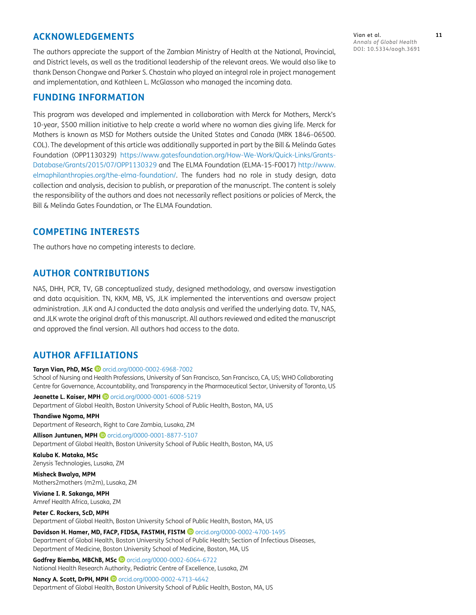## **ACKNOWLEDGEMENTS**

The authors appreciate the support of the Zambian Ministry of Health at the National, Provincial, and District levels, as well as the traditional leadership of the relevant areas. We would also like to thank Denson Chongwe and Parker S. Chastain who played an integral role in project management and implementation, and Kathleen L. McGlasson who managed the incoming data.

### **FUNDING INFORMATION**

This program was developed and implemented in collaboration with Merck for Mothers, Merck's 10-year, \$500 million initiative to help create a world where no woman dies giving life. Merck for Mothers is known as MSD for Mothers outside the United States and Canada (MRK 1846–06500. COL). The development of this article was additionally supported in part by the Bill & Melinda Gates Foundation (OPP1130329) [https://www.gatesfoundation.org/How-We-Work/Quick-Links/Grants-](https://www.gatesfoundation.org/How-We-Work/Quick-Links/Grants-Database/Grants/2015/07/OPP1130329)[Database/Grants/2015/07/OPP1130329](https://www.gatesfoundation.org/How-We-Work/Quick-Links/Grants-Database/Grants/2015/07/OPP1130329) and The ELMA Foundation (ELMA-15-F0017) [http://www.](http://www.elmaphilanthropies.org/the-elma-foundation/) [elmaphilanthropies.org/the-elma-foundation/](http://www.elmaphilanthropies.org/the-elma-foundation/). The funders had no role in study design, data collection and analysis, decision to publish, or preparation of the manuscript. The content is solely the responsibility of the authors and does not necessarily reflect positions or policies of Merck, the Bill & Melinda Gates Foundation, or The ELMA Foundation.

## **COMPETING INTERESTS**

The authors have no competing interests to declare.

## **AUTHOR CONTRIBUTIONS**

NAS, DHH, PCR, TV, GB conceptualized study, designed methodology, and oversaw investigation and data acquisition. TN, KKM, MB, VS, JLK implemented the interventions and oversaw project administration. JLK and AJ conducted the data analysis and verified the underlying data. TV, NAS, and JLK wrote the original draft of this manuscript. All authors reviewed and edited the manuscript and approved the final version. All authors had access to the data.

## **AUTHOR AFFILIATIONS**

**Taryn Vian, PhD, MSc @** [orcid.org/0000-0002-6968-7002](https://orcid.org/0000-0002-6968-7002)

School of Nursing and Health Professions, University of San Francisco, San Francisco, CA, US; WHO Collaborating Centre for Governance, Accountability, and Transparency in the Pharmaceutical Sector, University of Toronto, US

**Jeanette L. Kaiser, MPH D** [orcid.org/0000-0001-6008-5219](https://orcid.org/0000-0001-6008-5219) Department of Global Health, Boston University School of Public Health, Boston, MA, US

#### **Thandiwe Ngoma, MPH**

Department of Research, Right to Care Zambia, Lusaka, ZM

**Allison Juntunen, MPH D** [orcid.org/0000-0001-8877-5107](https://orcid.org/0000-0001-8877-5107) Department of Global Health, Boston University School of Public Health, Boston, MA, US

#### **Kaluba K. Mataka, MSc** Zenysis Technologies, Lusaka, ZM

**Misheck Bwalya, MPM** Mothers2mothers (m2m), Lusaka, ZM

**Viviane I. R. Sakanga, MPH** Amref Health Africa, Lusaka, ZM

#### **Peter C. Rockers, ScD, MPH**

Department of Global Health, Boston University School of Public Health, Boston, MA, US

Davidson H. Hamer, MD, FACP, FIDSA, FASTMH, FISTM <sup>D</sup> [orcid.org/0000-0002-4700-1495](https://orcid.org/0000-0002-4700-1495) Department of Global Health, Boston University School of Public Health; Section of Infectious Diseases,

Department of Medicine, Boston University School of Medicine, Boston, MA, US

**Godfrey Biemba, MBChB, MSc** [orcid.org/0000-0002-6064-6722](https://orcid.org/0000-0002-6064-6722) National Health Research Authority, Pediatric Centre of Excellence, Lusaka, ZM

**Nancy A. Scott, DrPH, MPH D** [orcid.org/0000-0002-4713-4642](https://orcid.org/0000-0002-4713-4642) Department of Global Health, Boston University School of Public Health, Boston, MA, US

Vian et al. **11** *Annals of Global Health* DOI: 10.5334/aogh.3691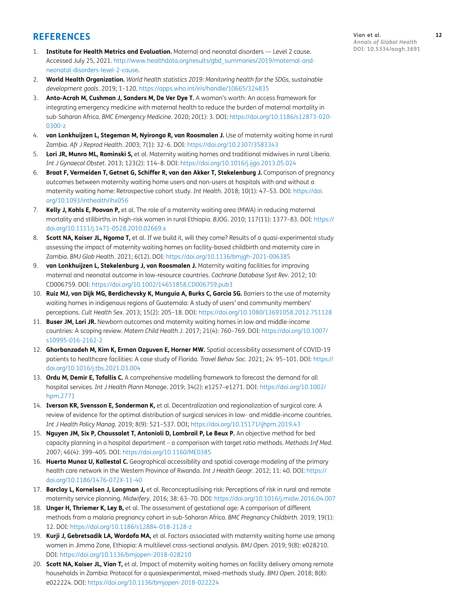## **REFERENCES**

- 1. **Institute for Health Metrics and Evaluation.** Maternal and neonatal disorders Level 2 cause. Accessed July 25, 2021. [http://www.healthdata.org/results/gbd\\_summaries/2019/maternal-and](http://www.healthdata.org/results/gbd_summaries/2019/maternal-and-neonatal-disorders-level-2-cause )[neonatal-disorders-level-2-cause.](http://www.healthdata.org/results/gbd_summaries/2019/maternal-and-neonatal-disorders-level-2-cause )
- 2. **World Health Organization.** *World health statistics 2019: Monitoring health for the SDGs, sustainable development goals*. 2019; 1–120. [https://apps.who.int/iris/handle/10665/324835](https://apps.who.int/iris/handle/10665/324835 )
- 3. **Anto-Acrah M, Cushman J, Sanders M, De Ver Dye T.** A woman's worth: An access framework for integrating emergency medicine with maternal health to reduce the burden of maternal mortality in sub-Saharan Africa. *BMC Emergency Medicine*. 2020; 20(1): 3. DOI: [https://doi.org/10.1186/s12873-020-](https://doi.org/10.1186/s12873-020-0300-z ) [0300-z](https://doi.org/10.1186/s12873-020-0300-z )
- 4. **van Lonkhuijzen L, Stegeman M, Nyirongo R, van Roosmalen J.** Use of maternity waiting home in rural Zambia. *Afr J Reprod Health*. 2003; 7(1): 32–6. DOI: [https://doi.org/10.2307/3583343](https://doi.org/10.2307/3583343 )
- 5. **Lori JR, Munro ML, Rominski S,** et al. Maternity waiting homes and traditional midwives in rural Liberia. *Int J Gynaecol Obstet*. 2013; 123(2): 114–8. DOI: [https://doi.org/10.1016/j.ijgo.2013.05.024](https://doi.org/10.1016/j.ijgo.2013.05.024 )
- 6. **Braat F, Vermeiden T, Getnet G, Schiffer R, van den Akker T, Stekelenburg J.** Comparison of pregnancy outcomes between maternity waiting home users and non-users at hospitals with and without a maternity waiting home: Retrospective cohort study. *Int Health*. 2018; 10(1): 47–53. DOI: [https://doi.](https://doi.org/10.1093/inthealth/ihx056 ) [org/10.1093/inthealth/ihx056](https://doi.org/10.1093/inthealth/ihx056 )
- 7. **Kelly J, Kohls E, Poovan P,** et al. The role of a maternity waiting area (MWA) in reducing maternal mortality and stillbirths in high-risk women in rural Ethiopia. *BJOG*. 2010; 117(11): 1377–83. DOI: [https://](https://doi.org/10.1111/j.1471-0528.2010.02669.x ) [doi.org/10.1111/j.1471-0528.2010.02669.x](https://doi.org/10.1111/j.1471-0528.2010.02669.x )
- 8. **Scott NA, Kaiser JL, Ngoma T,** et al. If we build it, will they come? Results of a quasi-experimental study assessing the impact of maternity waiting homes on facility-based childbirth and maternity care in Zambia. *BMJ Glob Health*. 2021; 6(12). DOI: [https://doi.org/10.1136/bmjgh-2021-006385](https://doi.org/10.1136/bmjgh-2021-006385 )
- 9. **van Lonkhuijzen L, Stekelenburg J, van Roosmalen J.** Maternity waiting facilities for improving maternal and neonatal outcome in low-resource countries. *Cochrane Database Syst Rev*. 2012; 10: CD006759. DOI: [https://doi.org/10.1002/14651858.CD006759.pub3](https://doi.org/10.1002/14651858.CD006759.pub3 )
- 10. **Ruiz MJ, van Dijk MG, Berdichevsky K, Munguia A, Burks C, Garcia SG.** Barriers to the use of maternity waiting homes in indigenous regions of Guatemala: A study of users' and community members' perceptions. *Cult Health Sex*. 2013; 15(2): 205–18. DOI: [https://doi.org/10.1080/13691058.2012.751128](https://doi.org/10.1080/13691058.2012.751128 )
- 11. **Buser JM, Lori JR.** Newborn outcomes and maternity waiting homes in low and middle-income countries: A scoping review. *Matern Child Health J*. 2017; 21(4): 760–769. DOI: [https://doi.org/10.1007/](https://doi.org/10.1007/s10995-016-2162-2 ) [s10995-016-2162-2](https://doi.org/10.1007/s10995-016-2162-2 )
- 12. **Ghorbanzadeh M, Kim K, Erman Ozguven E, Horner MW.** Spatial accessibility assessment of COVID-19 patients to healthcare facilities: A case study of Florida. *Travel Behav Soc*. 2021; 24: 95–101. DOI: [https://](https://doi.org/10.1016/j.tbs.2021.03.004 ) [doi.org/10.1016/j.tbs.2021.03.004](https://doi.org/10.1016/j.tbs.2021.03.004 )
- 13. **Ordu M, Demir E, Tofallis C.** A comprehensive modelling framework to forecast the demand for all hospital services. *Int J Health Plann Manage*. 2019; 34(2): e1257–e1271. DOI: [https://doi.org/10.1002/](https://doi.org/10.1002/hpm.2771 ) [hpm.2771](https://doi.org/10.1002/hpm.2771 )
- 14. **Iverson KR, Svensson E, Sonderman K,** et al. Decentralization and regionalization of surgical care: A review of evidence for the optimal distribution of surgical services in low- and middle-income countries. *Int J Health Policy Manag*. 2019; 8(9): 521–537. DOI; [https://doi.org/10.15171/ijhpm.2019.43](https://doi.org/10.15171/ijhpm.2019.43 )
- 15. **Nguyen JM, Six P, Chaussalet T, Antonioli D, Lombrail P, Le Beux P.** An objective method for bed capacity planning in a hospital department – a comparison with target ratio methods. *Methods Inf Med*. 2007; 46(4): 399–405. DOI: [https://doi.org/10.1160/ME0385](https://doi.org/10.1160/ME0385 )
- 16. **Huerta Munoz U, Kallestal C.** Geographical accessibility and spatial coverage modeling of the primary health care network in the Western Province of Rwanda. *Int J Health Geogr*. 2012; 11: 40. DOI: [https://](https://doi.org/10.1186/1476-072X-11-40 ) [doi.org/10.1186/1476-072X-11-40](https://doi.org/10.1186/1476-072X-11-40 )
- 17. **Barclay L, Kornelsen J, Longman J,** et al. Reconceptualising risk: Perceptions of risk in rural and remote maternity service planning. *Midwifery*. 2016; 38: 63–70. DOI: [https://doi.org/10.1016/j.midw.2016.04.007](https://doi.org/10.1016/j.midw.2016.04.007 )
- 18. **Unger H, Thriemer K, Ley B,** et al. The assessment of gestational age: A comparison of different methods from a malaria pregnancy cohort in sub-Saharan Africa. *BMC Pregnancy Childbirth*. 2019; 19(1): 12. DOI: [https://doi.org/10.1186/s12884-018-2128-z](https://doi.org/10.1186/s12884-018-2128-z )
- 19. **Kurji J, Gebretsadik LA, Wordofa MA,** et al. Factors associated with maternity waiting home use among women in Jimma Zone, Ethiopia: A multilevel cross-sectional analysis. *BMJ Open*. 2019; 9(8): e028210. DOI: [https://doi.org/10.1136/bmjopen-2018-028210](https://doi.org/10.1136/bmjopen-2018-028210 )
- 20. **Scott NA, Kaiser JL, Vian T,** et al. Impact of maternity waiting homes on facility delivery among remote households in Zambia: Protocol for a quasiexperimental, mixed-methods study. *BMJ Open*. 2018; 8(8): e022224. DOI: [https://doi.org/10.1136/bmjopen-2018-022224](https://doi.org/10.1136/bmjopen-2018-022224 )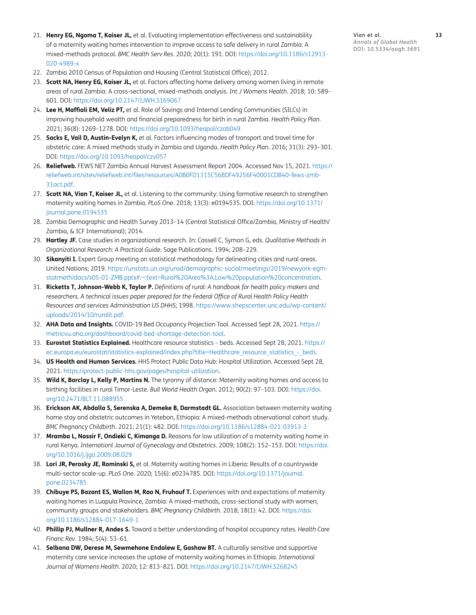- 21. **Henry EG, Ngoma T, Kaiser JL,** et al. Evaluating implementation effectiveness and sustainability of a maternity waiting homes intervention to improve access to safe delivery in rural Zambia: A mixed-methods protocol. *BMC Health Serv Res*. 2020; 20(1): 191. DOI: [https://doi.org/10.1186/s12913-](https://doi.org/10.1186/s12913-020-4989-x ) [020-4989-x](https://doi.org/10.1186/s12913-020-4989-x )
- 22. Zambia 2010 Census of Population and Housing (Central Statistical Office); 2012.
- 23. **Scott NA, Henry EG, Kaiser JL,** et al. Factors affecting home delivery among women living in remote areas of rural Zambia: A cross-sectional, mixed-methods analysis. *Int J Womens Health*. 2018; 10: 589– 601. DOI: [https://doi.org/10.2147/IJWH.S169067](https://doi.org/10.2147/IJWH.S169067 )
- 24. **Lee H, Maffioli EM, Veliz PT,** et al. Role of Savings and Internal Lending Communities (SILCs) in improving household wealth and financial preparedness for birth in rural Zambia. *Health Policy Plan*. 2021; 36(8): 1269–1278. DOI: [https://doi.org/10.1093/heapol/czab049](https://doi.org/10.1093/heapol/czab049 )
- 25. **Sacks E, Vail D, Austin-Evelyn K,** et al. Factors influencing modes of transport and travel time for obstetric care: A mixed methods study in Zambia and Uganda. *Health Policy Plan*. 2016; 31(3): 293–301. DOI: [https://doi.org/10.1093/heapol/czv057](https://doi.org/10.1093/heapol/czv057 )
- 26. **Reliefweb.** FEWS NET Zambia Annual Harvest Assessment Report 2004. Accessed Nov 15, 2021. [https://](https://reliefweb.int/sites/reliefweb.int/files/resources/A0B0FD1315C56BDF49256F40001CDB40-fews-zmb-31oct.pdf ) [reliefweb.int/sites/reliefweb.int/files/resources/A0B0FD1315C56BDF49256F40001CDB40-fews-zmb-](https://reliefweb.int/sites/reliefweb.int/files/resources/A0B0FD1315C56BDF49256F40001CDB40-fews-zmb-31oct.pdf )[31oct.pdf.](https://reliefweb.int/sites/reliefweb.int/files/resources/A0B0FD1315C56BDF49256F40001CDB40-fews-zmb-31oct.pdf )
- 27. **Scott NA, Vian T, Kaiser JL,** et al. Listening to the community: Using formative research to strengthen maternity waiting homes in Zambia. *PLoS One*. 2018; 13(3): e0194535. DOI: [https://doi.org/10.1371/](https://doi.org/10.1371/journal.pone.0194535 ) [journal.pone.0194535](https://doi.org/10.1371/journal.pone.0194535 )
- 28. Zambia Demographic and Health Survey 2013–14 (Central Statistical Office/Zambia, Ministry of Health/ Zambia, & ICF International); 2014.
- 29. **Hartley JF.** Case studies in organizational research. In: Cassell C, Symon G, eds. *Qualitative Methods in Organizational Research: A Practical Guide*. Sage Publications. 1994; 208–229.
- 30. **Sikanyiti I.** Expert Group meeting on statistical methodology for delineating cities and rural areas. United Nations; 2019. [https://unstats.un.org/unsd/demographic-social/meetings/2019/newyork-egm](https://unstats.un.org/unsd/demographic-social/meetings/2019/newyork-egm-statmeth/docs/s05-01-ZMB.pptx#:~:text=Rural%20Area%3A,Low%20population%20concentration )[statmeth/docs/s05-01-ZMB.pptx#:~:text=Rural%20Area%3A,Low%20population%20concentration.](https://unstats.un.org/unsd/demographic-social/meetings/2019/newyork-egm-statmeth/docs/s05-01-ZMB.pptx#:~:text=Rural%20Area%3A,Low%20population%20concentration )
- 31. **Ricketts T, Johnson-Webb K, Taylor P.** *Definitions of rural: A handbook for health policy makers and researchers. A technical issues paper prepared for the Federal Office of Rural Health Policy Health Resources and services Administration US DHHS*; 1998. [https://www.shepscenter.unc.edu/wp-content/](https://www.shepscenter.unc.edu/wp-content/uploads/2014/10/ruralit.pdf ) [uploads/2014/10/ruralit.pdf.](https://www.shepscenter.unc.edu/wp-content/uploads/2014/10/ruralit.pdf )
- 32. **AHA Data and Insights.** COVID-19 Bed Occupancy Projection Tool. Accessed Sept 28, 2021. [https://](https://metricvu.aha.org/dashboard/covid-bed-shortage-detection-tool ) [metricvu.aha.org/dashboard/covid-bed-shortage-detection-tool.](https://metricvu.aha.org/dashboard/covid-bed-shortage-detection-tool )
- 33. **Eurostat Statistics Explained.** Healthcare resource statistics beds. Accessed Sept 28, 2021. [https://](https://ec.europa.eu/eurostat/statistics-explained/index.php?title=Healthcare_resource_statistics_-_beds ) [ec.europa.eu/eurostat/statistics-explained/index.php?title=Healthcare\\_resource\\_statistics\\_-\\_beds.](https://ec.europa.eu/eurostat/statistics-explained/index.php?title=Healthcare_resource_statistics_-_beds )
- 34. **US Health and Human Services.** HHS Protect Public Data Hub: Hospital Utilization. Accessed Sept 28, 2021. [https://protect-public-hhs.gov/pages/hospital-utilization.](https://protect-public-hhs.gov/pages/hospital-utilization )
- 35. **Wild K, Barclay L, Kelly P, Martins N.** The tyranny of distance: Maternity waiting homes and access to birthing facilities in rural Timor-Leste. *Bull World Health Organ*. 2012; 90(2): 97–103. DOI: [https://doi.](https://doi.org/10.2471/BLT.11.088955 ) [org/10.2471/BLT.11.088955](https://doi.org/10.2471/BLT.11.088955 )
- 36. **Erickson AK, Abdalla S, Serenska A, Demeke B, Darmstadt GL.** Association between maternity waiting home stay and obstetric outcomes in Yetebon, Ethiopia: A mixed-methods observational cohort study. *BMC Pregnancy Childbirth*. 2021; 21(1): 482. DOI: [https://doi.org/10.1186/s12884-021-03913-3](https://doi.org/10.1186/s12884-021-03913-3 )
- 37. **Mramba L, Nassir F, Ondieki C, Kimanga D.** Reasons for low utilization of a maternity waiting home in rural Kenya. *Internationl Journal of Gynecology and Obstetrics*. 2009; 108(2): 152–153. DOI: [https://doi.](https://doi.org/10.1016/j.ijgo.2009.08.029 ) [org/10.1016/j.ijgo.2009.08.029](https://doi.org/10.1016/j.ijgo.2009.08.029 )
- 38. **Lori JR, Perosky JE, Rominski S,** et al. Maternity waiting homes in Liberia: Results of a countrywide multi-sector scale-up. *PLoS One*. 2020; 15(6): e0234785. DOI: [https://doi.org/10.1371/journal.](https://doi.org/10.1371/journal.pone.0234785 ) [pone.0234785](https://doi.org/10.1371/journal.pone.0234785 )
- 39. **Chibuye PS, Bazant ES, Wallon M, Rao N, Fruhauf T.** Experiences with and expectations of maternity waiting homes in Luapula Province, Zambia: A mixed-methods, cross-sectional study with women, community groups and stakeholders. *BMC Pregnancy Childbirth*. 2018; 18(1): 42. DOI: [https://doi.](https://doi.org/10.1186/s12884-017-1649-1 ) [org/10.1186/s12884-017-1649-1](https://doi.org/10.1186/s12884-017-1649-1 )
- 40. **Phillip PJ, Mullner R, Andes S.** Toward a better understanding of hospital occupancy rates. *Health Care Financ Rev*. 1984; 5(4): 53–61.
- 41. **Selbana DW, Derese M, Sewmehone Endalew E, Gashaw BT.** A culturally sensitive and supportive maternity care service increases the uptake of maternity waiting homes in Ethiopia. *International Journal of Womens Health*. 2020; 12: 813–821. DOI: [https://doi.org/10.2147/IJWH.S268245](https://doi.org/10.2147/IJWH.S268245 )